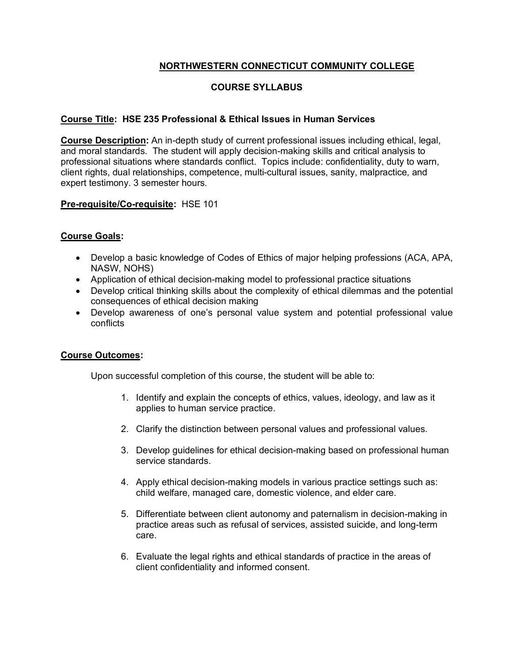## **NORTHWESTERN CONNECTICUT COMMUNITY COLLEGE**

# **COURSE SYLLABUS**

### **Course Title: HSE 235 Professional & Ethical Issues in Human Services**

**Course Description:** An in-depth study of current professional issues including ethical, legal, and moral standards. The student will apply decision-making skills and critical analysis to professional situations where standards conflict. Topics include: confidentiality, duty to warn, client rights, dual relationships, competence, multi-cultural issues, sanity, malpractice, and expert testimony. 3 semester hours.

### **Pre-requisite/Co-requisite:** HSE 101

### **Course Goals:**

- Develop a basic knowledge of Codes of Ethics of major helping professions (ACA, APA, NASW, NOHS)
- Application of ethical decision-making model to professional practice situations
- Develop critical thinking skills about the complexity of ethical dilemmas and the potential consequences of ethical decision making
- Develop awareness of one's personal value system and potential professional value conflicts

### **Course Outcomes:**

Upon successful completion of this course, the student will be able to:

- 1. Identify and explain the concepts of ethics, values, ideology, and law as it applies to human service practice.
- 2. Clarify the distinction between personal values and professional values.
- 3. Develop guidelines for ethical decision-making based on professional human service standards.
- 4. Apply ethical decision-making models in various practice settings such as: child welfare, managed care, domestic violence, and elder care.
- 5. Differentiate between client autonomy and paternalism in decision-making in practice areas such as refusal of services, assisted suicide, and long-term care.
- 6. Evaluate the legal rights and ethical standards of practice in the areas of client confidentiality and informed consent.